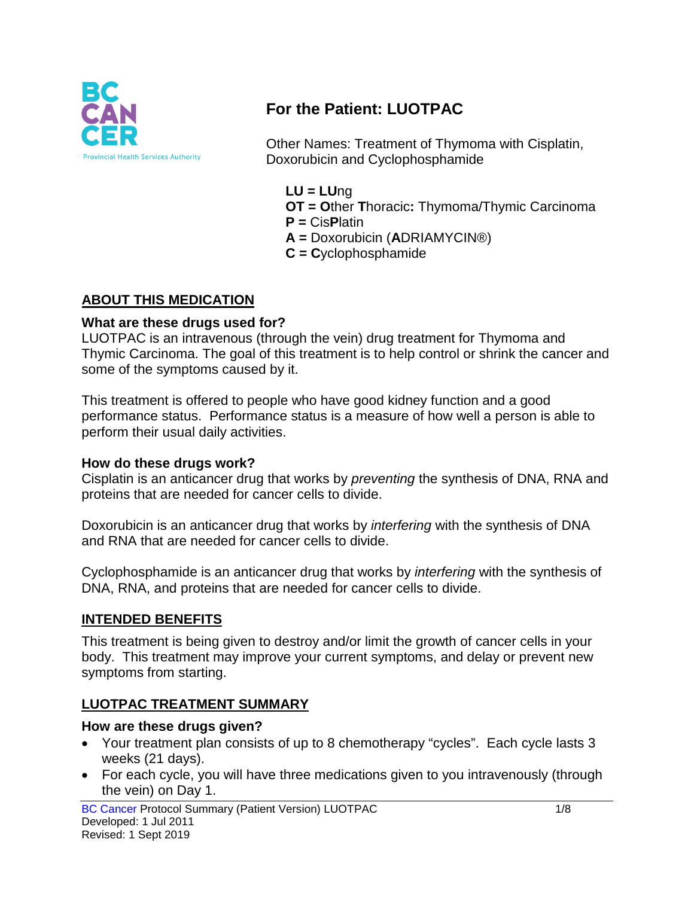

# **For the Patient: LUOTPAC**

Other Names: Treatment of Thymoma with Cisplatin, Doxorubicin and Cyclophosphamide

- **LU = LU**ng
- **OT = O**ther **T**horacic**:** Thymoma/Thymic Carcinoma
- **P =** Cis**P**latin
- **A =** Doxorubicin (**A**DRIAMYCIN®)
- **C = C**yclophosphamide

### **ABOUT THIS MEDICATION**

#### **What are these drugs used for?**

LUOTPAC is an intravenous (through the vein) drug treatment for Thymoma and Thymic Carcinoma. The goal of this treatment is to help control or shrink the cancer and some of the symptoms caused by it.

This treatment is offered to people who have good kidney function and a good performance status. Performance status is a measure of how well a person is able to perform their usual daily activities.

#### **How do these drugs work?**

Cisplatin is an anticancer drug that works by *preventing* the synthesis of DNA, RNA and proteins that are needed for cancer cells to divide.

Doxorubicin is an anticancer drug that works by *interfering* with the synthesis of DNA and RNA that are needed for cancer cells to divide.

Cyclophosphamide is an anticancer drug that works by *interfering* with the synthesis of DNA, RNA, and proteins that are needed for cancer cells to divide.

### **INTENDED BENEFITS**

This treatment is being given to destroy and/or limit the growth of cancer cells in your body. This treatment may improve your current symptoms, and delay or prevent new symptoms from starting.

### **LUOTPAC TREATMENT SUMMARY**

#### **How are these drugs given?**

- Your treatment plan consists of up to 8 chemotherapy "cycles". Each cycle lasts 3 weeks (21 days).
- For each cycle, you will have three medications given to you intravenously (through the vein) on Day 1.

BC Cancer Protocol Summary (Patient Version) LUOTPAC 1/8 Developed: 1 Jul 2011 Revised: 1 Sept 2019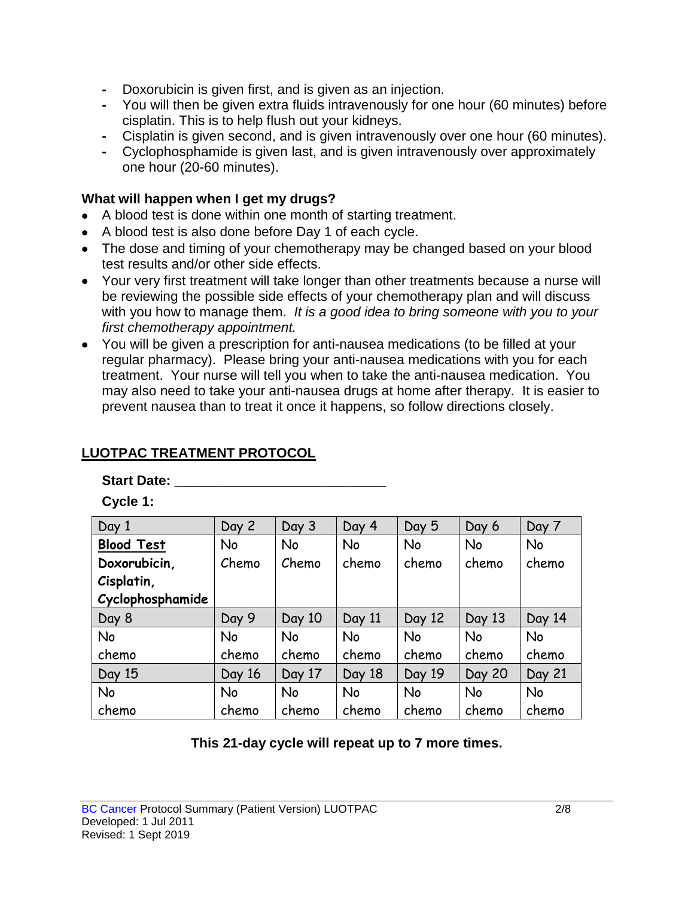- **-** Doxorubicin is given first, and is given as an injection.
- **-** You will then be given extra fluids intravenously for one hour (60 minutes) before cisplatin. This is to help flush out your kidneys.
- **-** Cisplatin is given second, and is given intravenously over one hour (60 minutes).
- **-** Cyclophosphamide is given last, and is given intravenously over approximately one hour (20-60 minutes).

### **What will happen when I get my drugs?**

- A blood test is done within one month of starting treatment.
- A blood test is also done before Day 1 of each cycle.
- The dose and timing of your chemotherapy may be changed based on your blood test results and/or other side effects.
- Your very first treatment will take longer than other treatments because a nurse will be reviewing the possible side effects of your chemotherapy plan and will discuss with you how to manage them. *It is a good idea to bring someone with you to your first chemotherapy appointment.*
- You will be given a prescription for anti-nausea medications (to be filled at your regular pharmacy). Please bring your anti-nausea medications with you for each treatment. Your nurse will tell you when to take the anti-nausea medication. You may also need to take your anti-nausea drugs at home after therapy. It is easier to prevent nausea than to treat it once it happens, so follow directions closely.

# **LUOTPAC TREATMENT PROTOCOL**

### **Start Date: \_\_\_\_\_\_\_\_\_\_\_\_\_\_\_\_\_\_\_\_\_\_\_\_\_\_\_\_**

**Cycle 1:**

| Day 1             | Day 2     | Day 3     | Day 4     | Day 5     | Day 6         | Day 7     |
|-------------------|-----------|-----------|-----------|-----------|---------------|-----------|
| <b>Blood Test</b> | No        | No        | No        | <b>No</b> | No            | No        |
| Doxorubicin,      | Chemo     | Chemo     | chemo     | chemo     | chemo         | chemo     |
| Cisplatin,        |           |           |           |           |               |           |
| Cyclophosphamide  |           |           |           |           |               |           |
| Day 8             | Day 9     | Day 10    | Day 11    | Day 12    | Day 13        | Day 14    |
| <b>No</b>         | No        | <b>No</b> | <b>No</b> | <b>No</b> | <b>No</b>     | <b>No</b> |
| chemo             | chemo     | chemo     | chemo     | chemo     | chemo         | chemo     |
| Day 15            | Day 16    | Day 17    | Day 18    | Day 19    | <b>Day 20</b> | Day 21    |
| <b>No</b>         | <b>No</b> | <b>No</b> | <b>No</b> | <b>No</b> | <b>No</b>     | <b>No</b> |
| chemo             | chemo     | chemo     | chemo     | chemo     | chemo         | chemo     |

### **This 21-day cycle will repeat up to 7 more times.**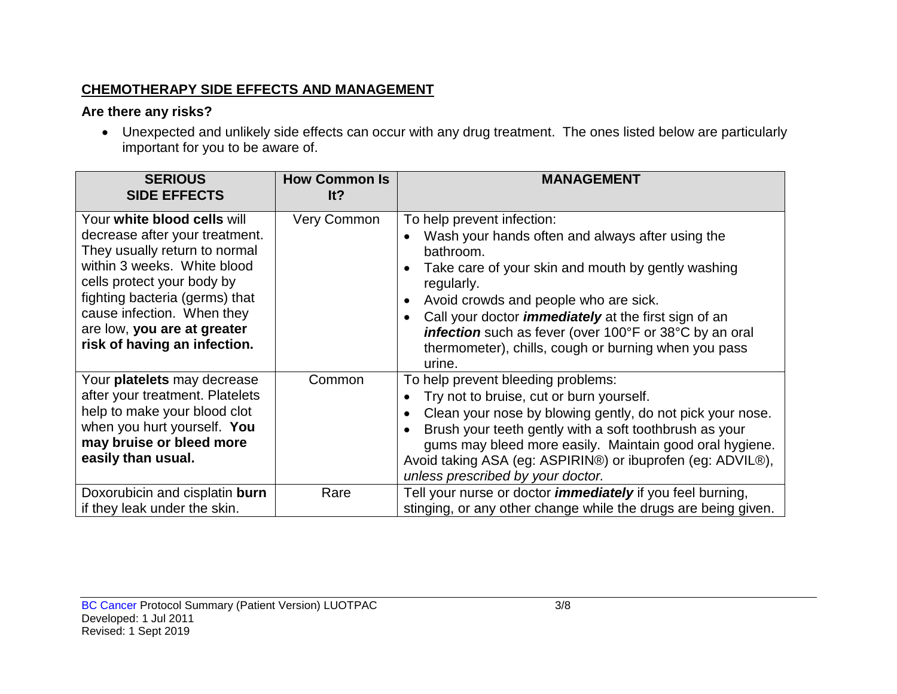# **CHEMOTHERAPY SIDE EFFECTS AND MANAGEMENT**

# **Are there any risks?**

• Unexpected and unlikely side effects can occur with any drug treatment. The ones listed below are particularly important for you to be aware of.

| <b>SERIOUS</b><br><b>SIDE EFFECTS</b>                                                                                                                                                                                                                                                      | <b>How Common Is</b><br>It? | <b>MANAGEMENT</b>                                                                                                                                                                                                                                                                                                                                                                                   |
|--------------------------------------------------------------------------------------------------------------------------------------------------------------------------------------------------------------------------------------------------------------------------------------------|-----------------------------|-----------------------------------------------------------------------------------------------------------------------------------------------------------------------------------------------------------------------------------------------------------------------------------------------------------------------------------------------------------------------------------------------------|
| Your white blood cells will<br>decrease after your treatment.<br>They usually return to normal<br>within 3 weeks. White blood<br>cells protect your body by<br>fighting bacteria (germs) that<br>cause infection. When they<br>are low, you are at greater<br>risk of having an infection. | Very Common                 | To help prevent infection:<br>Wash your hands often and always after using the<br>bathroom.<br>Take care of your skin and mouth by gently washing<br>regularly.<br>Avoid crowds and people who are sick.<br>Call your doctor <i>immediately</i> at the first sign of an<br>infection such as fever (over 100°F or 38°C by an oral<br>thermometer), chills, cough or burning when you pass<br>urine. |
| Your platelets may decrease<br>after your treatment. Platelets<br>help to make your blood clot<br>when you hurt yourself. You<br>may bruise or bleed more<br>easily than usual.                                                                                                            | Common                      | To help prevent bleeding problems:<br>Try not to bruise, cut or burn yourself.<br>Clean your nose by blowing gently, do not pick your nose.<br>Brush your teeth gently with a soft toothbrush as your<br>gums may bleed more easily. Maintain good oral hygiene.<br>Avoid taking ASA (eg: ASPIRIN®) or ibuprofen (eg: ADVIL®),<br>unless prescribed by your doctor.                                 |
| Doxorubicin and cisplatin burn<br>if they leak under the skin.                                                                                                                                                                                                                             | Rare                        | Tell your nurse or doctor <i>immediately</i> if you feel burning,<br>stinging, or any other change while the drugs are being given.                                                                                                                                                                                                                                                                 |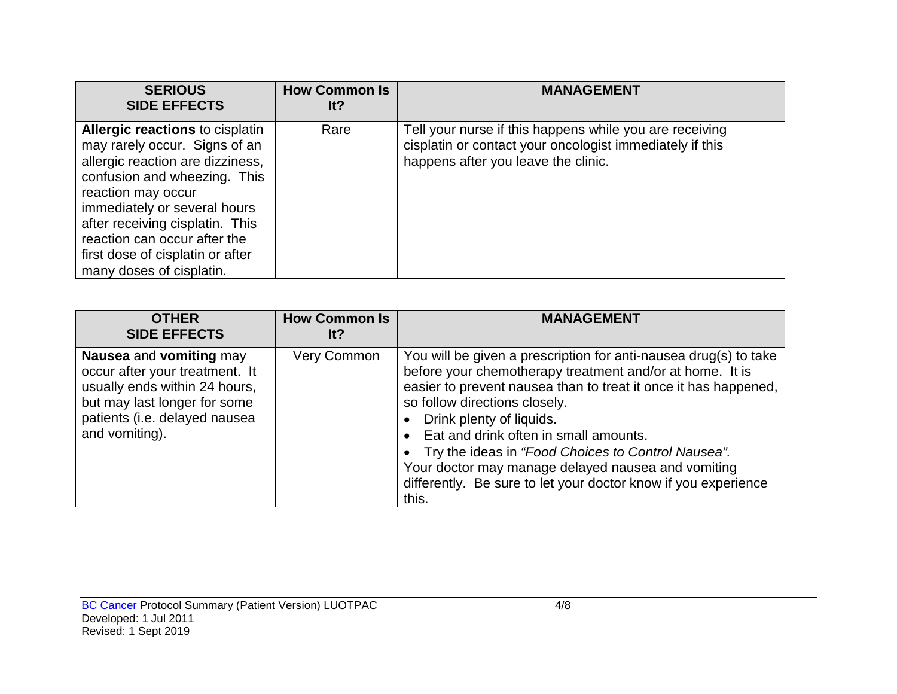| <b>SERIOUS</b><br><b>SIDE EFFECTS</b>                                                                                                                                                                                                                                                                                                | <b>How Common Is</b><br>lt? | <b>MANAGEMENT</b>                                                                                                                                          |
|--------------------------------------------------------------------------------------------------------------------------------------------------------------------------------------------------------------------------------------------------------------------------------------------------------------------------------------|-----------------------------|------------------------------------------------------------------------------------------------------------------------------------------------------------|
| <b>Allergic reactions to cisplatin</b><br>may rarely occur. Signs of an<br>allergic reaction are dizziness,<br>confusion and wheezing. This<br>reaction may occur<br>immediately or several hours<br>after receiving cisplatin. This<br>reaction can occur after the<br>first dose of cisplatin or after<br>many doses of cisplatin. | Rare                        | Tell your nurse if this happens while you are receiving<br>cisplatin or contact your oncologist immediately if this<br>happens after you leave the clinic. |

| <b>OTHER</b><br><b>SIDE EFFECTS</b>                                                                                                                                           | <b>How Common Is</b><br>lt? | <b>MANAGEMENT</b>                                                                                                                                                                                                                                                                                                                                                                                                                                                                              |
|-------------------------------------------------------------------------------------------------------------------------------------------------------------------------------|-----------------------------|------------------------------------------------------------------------------------------------------------------------------------------------------------------------------------------------------------------------------------------------------------------------------------------------------------------------------------------------------------------------------------------------------------------------------------------------------------------------------------------------|
| Nausea and vomiting may<br>occur after your treatment. It<br>usually ends within 24 hours,<br>but may last longer for some<br>patients (i.e. delayed nausea<br>and vomiting). | Very Common                 | You will be given a prescription for anti-nausea drug(s) to take<br>before your chemotherapy treatment and/or at home. It is<br>easier to prevent nausea than to treat it once it has happened,<br>so follow directions closely.<br>Drink plenty of liquids.<br>Eat and drink often in small amounts.<br>• Try the ideas in "Food Choices to Control Nausea".<br>Your doctor may manage delayed nausea and vomiting<br>differently. Be sure to let your doctor know if you experience<br>this. |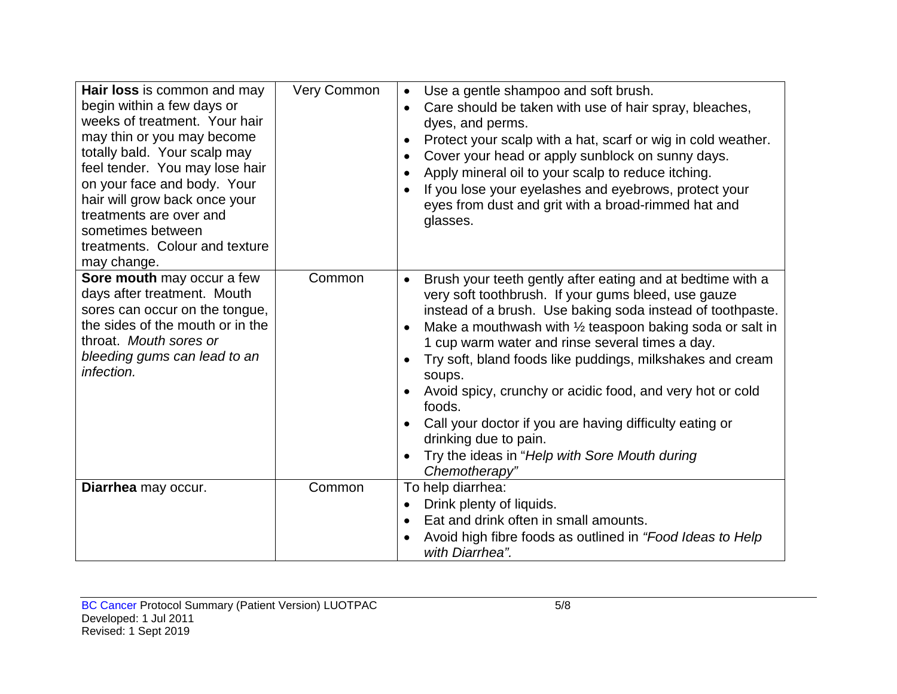| Hair loss is common and may<br>begin within a few days or<br>weeks of treatment. Your hair<br>may thin or you may become<br>totally bald. Your scalp may<br>feel tender. You may lose hair<br>on your face and body. Your<br>hair will grow back once your<br>treatments are over and<br>sometimes between<br>treatments. Colour and texture<br>may change. | <b>Very Common</b> | Use a gentle shampoo and soft brush.<br>$\bullet$<br>Care should be taken with use of hair spray, bleaches,<br>$\bullet$<br>dyes, and perms.<br>Protect your scalp with a hat, scarf or wig in cold weather.<br>$\bullet$<br>Cover your head or apply sunblock on sunny days.<br>Apply mineral oil to your scalp to reduce itching.<br>$\bullet$<br>If you lose your eyelashes and eyebrows, protect your<br>eyes from dust and grit with a broad-rimmed hat and<br>glasses.                                                                                                                                                                                                   |
|-------------------------------------------------------------------------------------------------------------------------------------------------------------------------------------------------------------------------------------------------------------------------------------------------------------------------------------------------------------|--------------------|--------------------------------------------------------------------------------------------------------------------------------------------------------------------------------------------------------------------------------------------------------------------------------------------------------------------------------------------------------------------------------------------------------------------------------------------------------------------------------------------------------------------------------------------------------------------------------------------------------------------------------------------------------------------------------|
| Sore mouth may occur a few<br>days after treatment. Mouth<br>sores can occur on the tongue,<br>the sides of the mouth or in the<br>throat. Mouth sores or<br>bleeding gums can lead to an<br>infection.                                                                                                                                                     | Common             | Brush your teeth gently after eating and at bedtime with a<br>$\bullet$<br>very soft toothbrush. If your gums bleed, use gauze<br>instead of a brush. Use baking soda instead of toothpaste.<br>Make a mouthwash with $\frac{1}{2}$ teaspoon baking soda or salt in<br>$\bullet$<br>1 cup warm water and rinse several times a day.<br>Try soft, bland foods like puddings, milkshakes and cream<br>$\bullet$<br>soups.<br>Avoid spicy, crunchy or acidic food, and very hot or cold<br>foods.<br>Call your doctor if you are having difficulty eating or<br>$\bullet$<br>drinking due to pain.<br>Try the ideas in "Help with Sore Mouth during<br>$\bullet$<br>Chemotherapy" |
| Diarrhea may occur.                                                                                                                                                                                                                                                                                                                                         | Common             | To help diarrhea:<br>Drink plenty of liquids.<br>$\bullet$<br>Eat and drink often in small amounts.<br>$\bullet$<br>Avoid high fibre foods as outlined in "Food Ideas to Help<br>with Diarrhea".                                                                                                                                                                                                                                                                                                                                                                                                                                                                               |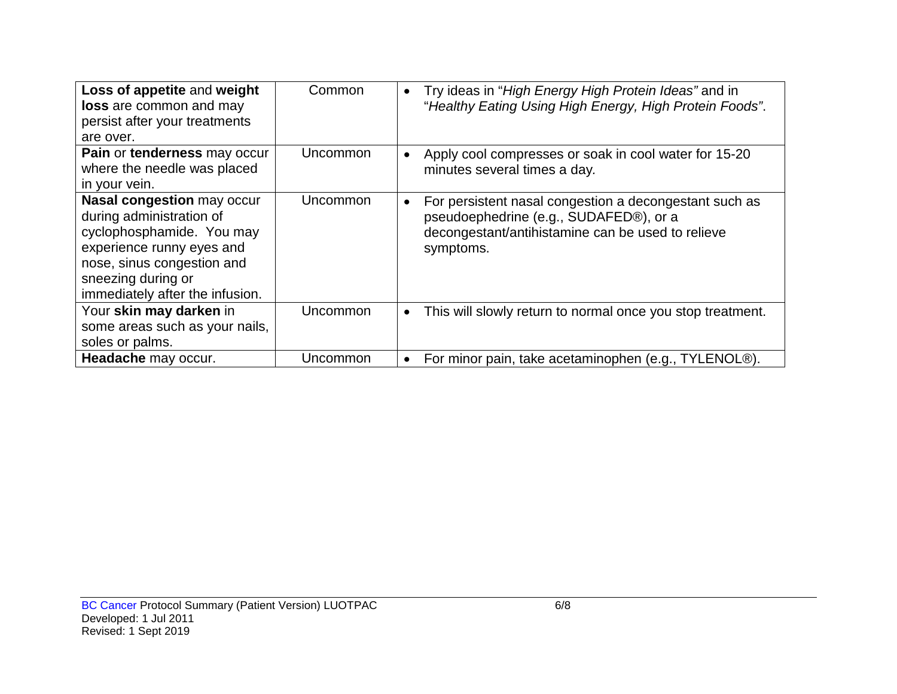| Loss of appetite and weight<br><b>loss</b> are common and may<br>persist after your treatments<br>are over.                                                                                                    | Common   | Try ideas in "High Energy High Protein Ideas" and in<br>$\bullet$<br>"Healthy Eating Using High Energy, High Protein Foods".                                       |
|----------------------------------------------------------------------------------------------------------------------------------------------------------------------------------------------------------------|----------|--------------------------------------------------------------------------------------------------------------------------------------------------------------------|
| Pain or tenderness may occur<br>where the needle was placed<br>in your vein.                                                                                                                                   | Uncommon | Apply cool compresses or soak in cool water for 15-20<br>minutes several times a day.                                                                              |
| <b>Nasal congestion may occur</b><br>during administration of<br>cyclophosphamide. You may<br>experience runny eyes and<br>nose, sinus congestion and<br>sneezing during or<br>immediately after the infusion. | Uncommon | For persistent nasal congestion a decongestant such as<br>pseudoephedrine (e.g., SUDAFED®), or a<br>decongestant/antihistamine can be used to relieve<br>symptoms. |
| Your skin may darken in<br>some areas such as your nails,<br>soles or palms.                                                                                                                                   | Uncommon | This will slowly return to normal once you stop treatment.<br>$\bullet$                                                                                            |
| Headache may occur.                                                                                                                                                                                            | Uncommon | For minor pain, take acetaminophen (e.g., TYLENOL®).                                                                                                               |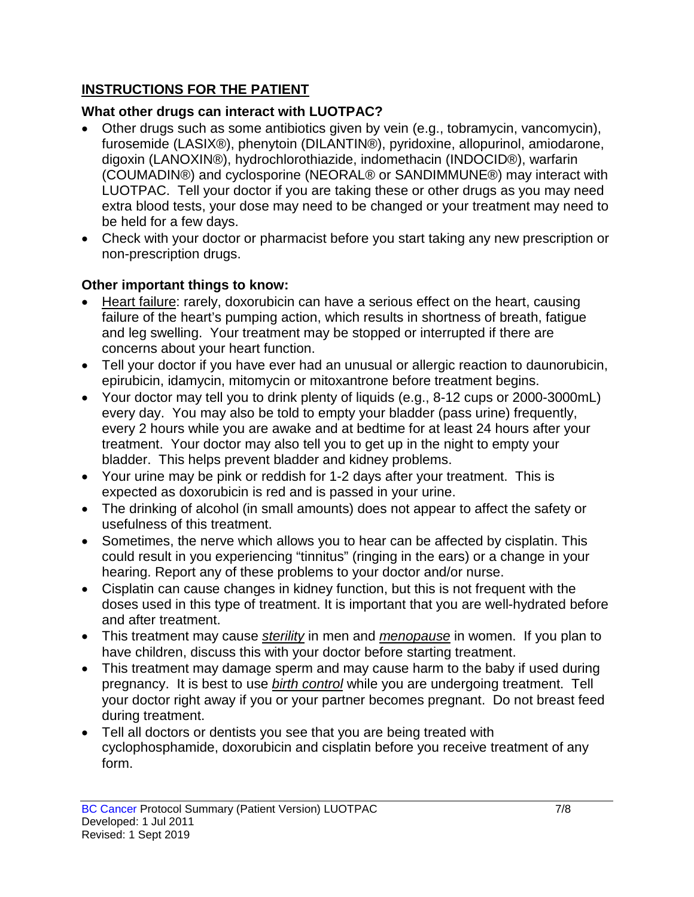# **INSTRUCTIONS FOR THE PATIENT**

# **What other drugs can interact with LUOTPAC?**

- Other drugs such as some antibiotics given by vein (e.g., tobramycin, vancomycin), furosemide (LASIX®), phenytoin (DILANTIN®), pyridoxine, allopurinol, amiodarone, digoxin (LANOXIN®), hydrochlorothiazide, indomethacin (INDOCID®), warfarin (COUMADIN®) and cyclosporine (NEORAL® or SANDIMMUNE®) may interact with LUOTPAC. Tell your doctor if you are taking these or other drugs as you may need extra blood tests, your dose may need to be changed or your treatment may need to be held for a few days.
- Check with your doctor or pharmacist before you start taking any new prescription or non-prescription drugs.

# **Other important things to know:**

- Heart failure: rarely, doxorubicin can have a serious effect on the heart, causing failure of the heart's pumping action, which results in shortness of breath, fatigue and leg swelling. Your treatment may be stopped or interrupted if there are concerns about your heart function.
- Tell your doctor if you have ever had an unusual or allergic reaction to daunorubicin, epirubicin, idamycin, mitomycin or mitoxantrone before treatment begins.
- Your doctor may tell you to drink plenty of liquids (e.g., 8-12 cups or 2000-3000mL) every day. You may also be told to empty your bladder (pass urine) frequently, every 2 hours while you are awake and at bedtime for at least 24 hours after your treatment. Your doctor may also tell you to get up in the night to empty your bladder. This helps prevent bladder and kidney problems.
- Your urine may be pink or reddish for 1-2 days after your treatment. This is expected as doxorubicin is red and is passed in your urine.
- The drinking of alcohol (in small amounts) does not appear to affect the safety or usefulness of this treatment.
- Sometimes, the nerve which allows you to hear can be affected by cisplatin. This could result in you experiencing "tinnitus" (ringing in the ears) or a change in your hearing. Report any of these problems to your doctor and/or nurse.
- Cisplatin can cause changes in kidney function, but this is not frequent with the doses used in this type of treatment. It is important that you are well-hydrated before and after treatment.
- This treatment may cause *sterility* in men and *menopause* in women. If you plan to have children, discuss this with your doctor before starting treatment.
- This treatment may damage sperm and may cause harm to the baby if used during pregnancy. It is best to use *birth control* while you are undergoing treatment. Tell your doctor right away if you or your partner becomes pregnant. Do not breast feed during treatment.
- Tell all doctors or dentists you see that you are being treated with cyclophosphamide, doxorubicin and cisplatin before you receive treatment of any form.